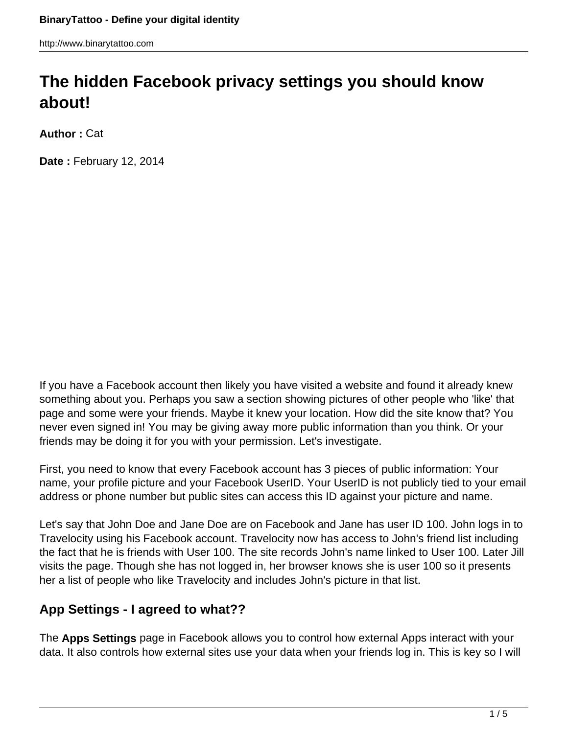http://www.binarytattoo.com

# **The hidden Facebook privacy settings you should know about!**

**Author :** Cat

**Date :** February 12, 2014

If you have a Facebook account then likely you have visited a website and found it already knew something about you. Perhaps you saw a section showing pictures of other people who 'like' that page and some were your friends. Maybe it knew your location. How did the site know that? You never even signed in! You may be giving away more public information than you think. Or your friends may be doing it for you with your permission. Let's investigate.

First, you need to know that every Facebook account has 3 pieces of public information: Your name, your profile picture and your Facebook UserID. Your UserID is not publicly tied to your email address or phone number but public sites can access this ID against your picture and name.

Let's say that John Doe and Jane Doe are on Facebook and Jane has user ID 100. John logs in to Travelocity using his Facebook account. Travelocity now has access to John's friend list including the fact that he is friends with User 100. The site records John's name linked to User 100. Later Jill visits the page. Though she has not logged in, her browser knows she is user 100 so it presents her a list of people who like Travelocity and includes John's picture in that list.

## **App Settings - I agreed to what??**

The **Apps Settings** page in Facebook allows you to control how external Apps interact with your data. It also controls how external sites use your data when your friends log in. This is key so I will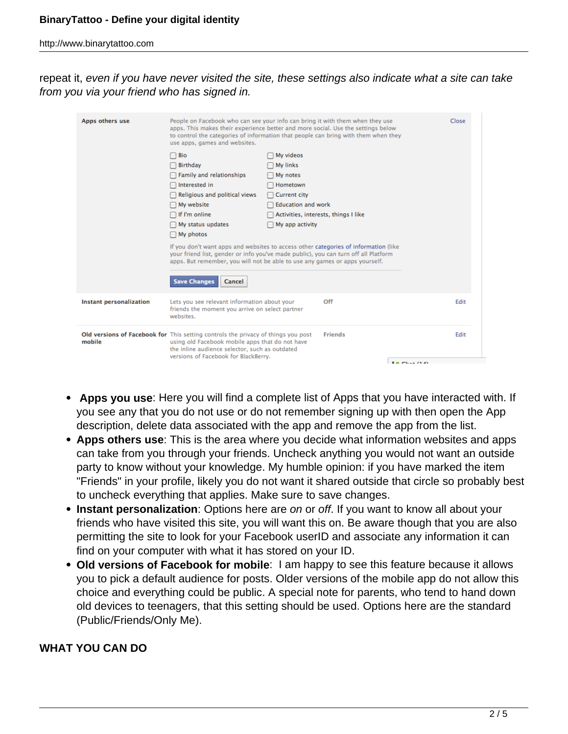http://www.binarytattoo.com

repeat it, even if you have never visited the site, these settings also indicate what a site can take from you via your friend who has signed in.

| Apps others use         | People on Facebook who can see your info can bring it with them when they use<br>apps. This makes their experience better and more social. Use the settings below<br>to control the categories of information that people can bring with them when they<br>use apps, games and websites.                                                                                                                                                                                                                                   |  | Close |                     |      |
|-------------------------|----------------------------------------------------------------------------------------------------------------------------------------------------------------------------------------------------------------------------------------------------------------------------------------------------------------------------------------------------------------------------------------------------------------------------------------------------------------------------------------------------------------------------|--|-------|---------------------|------|
|                         | Bio<br>My videos<br><b>Birthday</b><br>My links<br>Family and relationships<br>My notes<br>Interested in<br>Hometown<br>Religious and political views<br>Current city<br>My website<br><b>Education and work</b><br>$\Box$ If I'm online<br>Activities, interests, things I like<br>My status updates<br>My app activity<br>$\Box$ My photos<br>If you don't want apps and websites to access other categories of information (like<br>your friend list, gender or info you've made public), you can turn off all Platform |  |       |                     |      |
|                         | apps. But remember, you will not be able to use any games or apps yourself.<br><b>Save Changes</b><br>Cancel                                                                                                                                                                                                                                                                                                                                                                                                               |  |       |                     |      |
| Instant personalization | Lets you see relevant information about your<br>Off<br>friends the moment you arrive on select partner<br>websites.                                                                                                                                                                                                                                                                                                                                                                                                        |  |       |                     | Edit |
| mobile                  | Old versions of Facebook for This setting controls the privacy of things you post<br><b>Friends</b><br>using old Facebook mobile apps that do not have<br>the inline audience selector, such as outdated<br>versions of Facebook for BlackBerry.                                                                                                                                                                                                                                                                           |  |       | <b>Barbon (198)</b> | Edit |

- **Apps you use**: Here you will find a complete list of Apps that you have interacted with. If you see any that you do not use or do not remember signing up with then open the App description, delete data associated with the app and remove the app from the list.
- **Apps others use**: This is the area where you decide what information websites and apps can take from you through your friends. Uncheck anything you would not want an outside party to know without your knowledge. My humble opinion: if you have marked the item "Friends" in your profile, likely you do not want it shared outside that circle so probably best to uncheck everything that applies. Make sure to save changes.
- **Instant personalization**: Options here are on or off. If you want to know all about your friends who have visited this site, you will want this on. Be aware though that you are also permitting the site to look for your Facebook userID and associate any information it can find on your computer with what it has stored on your ID.
- **Old versions of Facebook for mobile**: I am happy to see this feature because it allows you to pick a default audience for posts. Older versions of the mobile app do not allow this choice and everything could be public. A special note for parents, who tend to hand down old devices to teenagers, that this setting should be used. Options here are the standard (Public/Friends/Only Me).

#### **WHAT YOU CAN DO**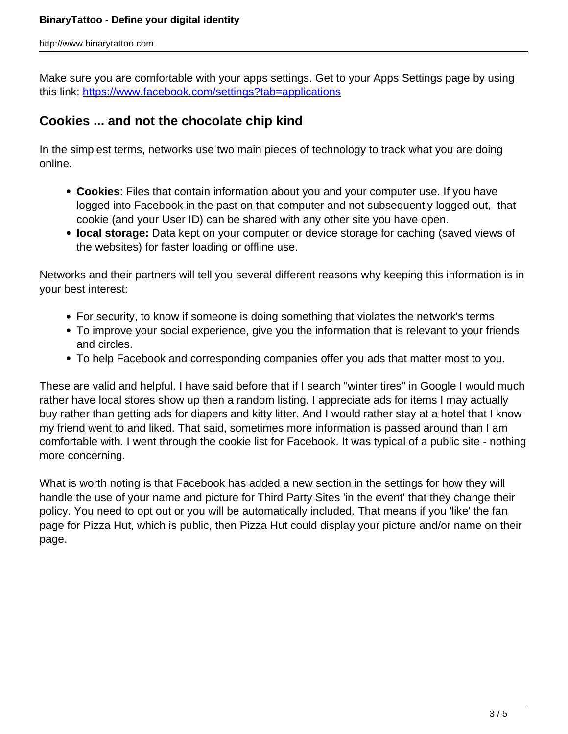Make sure you are comfortable with your apps settings. Get to your Apps Settings page by using this link:<https://www.facebook.com/settings?tab=applications>

## **Cookies ... and not the chocolate chip kind**

In the simplest terms, networks use two main pieces of technology to track what you are doing online.

- **Cookies**: Files that contain information about you and your computer use. If you have logged into Facebook in the past on that computer and not subsequently logged out, that cookie (and your User ID) can be shared with any other site you have open.
- **local storage:** Data kept on your computer or device storage for caching (saved views of the websites) for faster loading or offline use.

Networks and their partners will tell you several different reasons why keeping this information is in your best interest:

- For security, to know if someone is doing something that violates the network's terms
- To improve your social experience, give you the information that is relevant to your friends and circles.
- To help Facebook and corresponding companies offer you ads that matter most to you.

These are valid and helpful. I have said before that if I search "winter tires" in Google I would much rather have local stores show up then a random listing. I appreciate ads for items I may actually buy rather than getting ads for diapers and kitty litter. And I would rather stay at a hotel that I know my friend went to and liked. That said, sometimes more information is passed around than I am comfortable with. I went through the cookie list for Facebook. It was typical of a public site - nothing more concerning.

What is worth noting is that Facebook has added a new section in the settings for how they will handle the use of your name and picture for Third Party Sites 'in the event' that they change their policy. You need to opt out or you will be automatically included. That means if you 'like' the fan page for Pizza Hut, which is public, then Pizza Hut could display your picture and/or name on their page.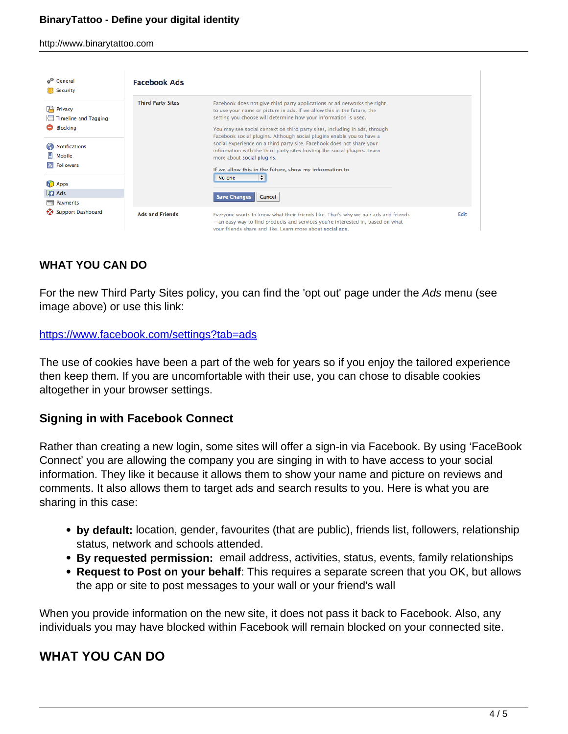http://www.binarytattoo.com

| ம <sup>ெ</sup> General<br>Security                                                                                                                                                   | <b>Facebook Ads</b>      |                                                                                                                                                                                                                                                                                                                                                                                                                                                                                                                                                                                                                                                                            |             |
|--------------------------------------------------------------------------------------------------------------------------------------------------------------------------------------|--------------------------|----------------------------------------------------------------------------------------------------------------------------------------------------------------------------------------------------------------------------------------------------------------------------------------------------------------------------------------------------------------------------------------------------------------------------------------------------------------------------------------------------------------------------------------------------------------------------------------------------------------------------------------------------------------------------|-------------|
| po<br>Privacy<br><b>Timeline and Tagging</b><br><b>Blocking</b><br>Notifications<br>Mobile<br><b>Followers</b><br>$\mathbb{R}$<br>R.<br>Apps<br><b>T</b> Ads<br>$\equiv$<br>Payments | <b>Third Party Sites</b> | Facebook does not give third party applications or ad networks the right<br>to use your name or picture in ads. If we allow this in the future, the<br>setting you choose will determine how your information is used.<br>You may see social context on third party sites, including in ads, through<br>Facebook social plugins. Although social plugins enable you to have a<br>social experience on a third party site, Facebook does not share your<br>information with the third party sites hosting the social plugins. Learn<br>more about social plugins.<br>If we allow this in the future, show my information to<br>÷<br>No one<br><b>Save Changes</b><br>Cancel |             |
| <b>Support Dashboard</b><br>⊷                                                                                                                                                        | <b>Ads and Friends</b>   | Everyone wants to know what their friends like. That's why we pair ads and friends<br>-an easy way to find products and services you're interested in, based on what<br>vour friends share and like. Learn more about social ads.                                                                                                                                                                                                                                                                                                                                                                                                                                          | <b>Edit</b> |

## **WHAT YOU CAN DO**

For the new Third Party Sites policy, you can find the 'opt out' page under the Ads menu (see image above) or use this link:

#### <https://www.facebook.com/settings?tab=ads>

The use of cookies have been a part of the web for years so if you enjoy the tailored experience then keep them. If you are uncomfortable with their use, you can chose to disable cookies altogether in your browser settings.

### **Signing in with Facebook Connect**

Rather than creating a new login, some sites will offer a sign-in via Facebook. By using 'FaceBook Connect' you are allowing the company you are singing in with to have access to your social information. They like it because it allows them to show your name and picture on reviews and comments. It also allows them to target ads and search results to you. Here is what you are sharing in this case:

- **by default:** location, gender, favourites (that are public), friends list, followers, relationship status, network and schools attended.
- **By requested permission:** email address, activities, status, events, family relationships
- **Request to Post on your behalf**: This requires a separate screen that you OK, but allows the app or site to post messages to your wall or your friend's wall

When you provide information on the new site, it does not pass it back to Facebook. Also, any individuals you may have blocked within Facebook will remain blocked on your connected site.

## **WHAT YOU CAN DO**